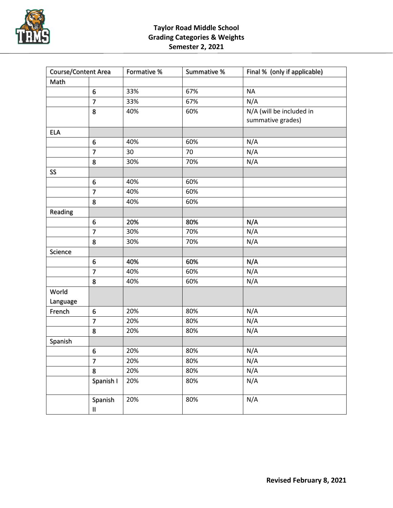

## **Taylor Road Middle School Grading Categories & Weights Semester 2, 2021**

| Course/Content Area |                          | Formative % | Summative % | Final % (only if applicable)                  |
|---------------------|--------------------------|-------------|-------------|-----------------------------------------------|
| Math                |                          |             |             |                                               |
|                     | 6                        | 33%         | 67%         | <b>NA</b>                                     |
|                     | $\overline{7}$           | 33%         | 67%         | N/A                                           |
|                     | 8                        | 40%         | 60%         | N/A (will be included in<br>summative grades) |
| <b>ELA</b>          |                          |             |             |                                               |
|                     | 6                        | 40%         | 60%         | N/A                                           |
|                     | $\overline{7}$           | 30          | 70          | N/A                                           |
|                     | 8                        | 30%         | 70%         | N/A                                           |
| SS                  |                          |             |             |                                               |
|                     | 6                        | 40%         | 60%         |                                               |
|                     | 7                        | 40%         | 60%         |                                               |
|                     | 8                        | 40%         | 60%         |                                               |
| Reading             |                          |             |             |                                               |
|                     | 6                        | 20%         | 80%         | N/A                                           |
|                     | $\overline{7}$           | 30%         | 70%         | N/A                                           |
|                     | 8                        | 30%         | 70%         | N/A                                           |
| Science             |                          |             |             |                                               |
|                     | 6                        | 40%         | 60%         | N/A                                           |
|                     | 7                        | 40%         | 60%         | N/A                                           |
|                     | 8                        | 40%         | 60%         | N/A                                           |
| World               |                          |             |             |                                               |
| Language            |                          |             |             |                                               |
| French              | 6                        | 20%         | 80%         | N/A                                           |
|                     | $\overline{\phantom{a}}$ | 20%         | 80%         | N/A                                           |
|                     | 8                        | 20%         | 80%         | N/A                                           |
| Spanish             |                          |             |             |                                               |
|                     | 6                        | 20%         | 80%         | N/A                                           |
|                     | $\overline{7}$           | 20%         | 80%         | N/A                                           |
|                     | 8                        | 20%         | 80%         | N/A                                           |
|                     | Spanish I                | 20%         | 80%         | N/A                                           |
|                     | Spanish<br>11            | 20%         | 80%         | N/A                                           |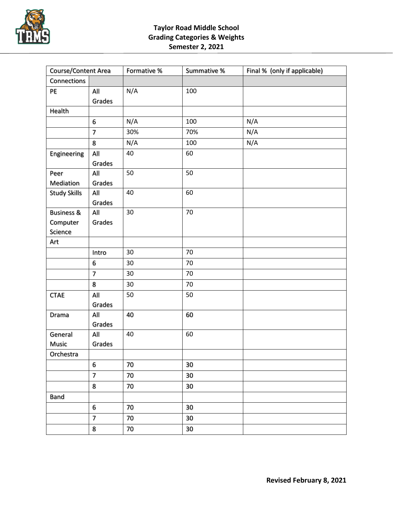

## **Taylor Road Middle School Grading Categories & Weights Semester 2, 2021**

| Course/Content Area   |                          | Formative % | Summative % | Final % (only if applicable) |
|-----------------------|--------------------------|-------------|-------------|------------------------------|
| Connections           |                          |             |             |                              |
| PE                    | All                      | N/A         | 100         |                              |
|                       | Grades                   |             |             |                              |
| Health                |                          |             |             |                              |
|                       | 6                        | N/A         | 100         | N/A                          |
|                       | $\overline{7}$           | 30%         | 70%         | N/A                          |
|                       | 8                        | N/A         | 100         | N/A                          |
| Engineering           | All                      | 40          | 60          |                              |
|                       | Grades                   |             |             |                              |
| Peer                  | All                      | 50          | 50          |                              |
| Mediation             | Grades                   |             |             |                              |
| <b>Study Skills</b>   | All                      | 40          | 60          |                              |
|                       | Grades                   |             |             |                              |
| <b>Business &amp;</b> | All                      | 30          | 70          |                              |
| Computer              | Grades                   |             |             |                              |
| Science               |                          |             |             |                              |
| Art                   |                          |             |             |                              |
|                       | Intro                    | 30          | 70          |                              |
|                       | 6                        | 30          | 70          |                              |
|                       | $\overline{7}$           | 30          | 70          |                              |
|                       | 8                        | 30          | 70          |                              |
| <b>CTAE</b>           | All                      | 50          | 50          |                              |
|                       | Grades                   |             |             |                              |
| Drama                 | All                      | 40          | 60          |                              |
|                       | Grades                   |             |             |                              |
| General               | All                      | 40          | 60          |                              |
| Music                 | Grades                   |             |             |                              |
| Orchestra             |                          |             |             |                              |
|                       | 6                        | 70          | 30          |                              |
|                       | $\overline{\phantom{a}}$ | 70          | 30          |                              |
|                       | 8                        | 70          | 30          |                              |
| Band                  |                          |             |             |                              |
|                       | 6                        | 70          | 30          |                              |
|                       | $\overline{7}$           | 70          | 30          |                              |
|                       | 8                        | 70          | 30          |                              |